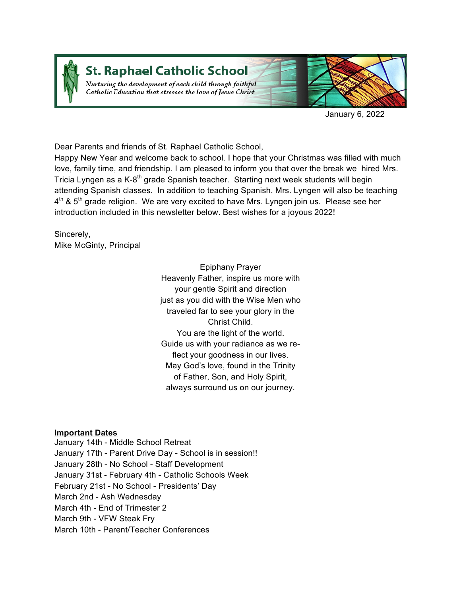

# **St. Raphael Catholic School**

Nurturing the development of each child through faithful Catholic Education that stresses the love of Jesus Christ



January 6, 2022

Dear Parents and friends of St. Raphael Catholic School,

Happy New Year and welcome back to school. I hope that your Christmas was filled with much love, family time, and friendship. I am pleased to inform you that over the break we hired Mrs. Tricia Lyngen as a K-8<sup>th</sup> grade Spanish teacher. Starting next week students will begin attending Spanish classes. In addition to teaching Spanish, Mrs. Lyngen will also be teaching  $4<sup>th</sup>$  & 5<sup>th</sup> grade religion. We are very excited to have Mrs. Lyngen join us. Please see her introduction included in this newsletter below. Best wishes for a joyous 2022!

Sincerely, Mike McGinty, Principal

> Epiphany Prayer Heavenly Father, inspire us more with your gentle Spirit and direction just as you did with the Wise Men who traveled far to see your glory in the Christ Child. You are the light of the world. Guide us with your radiance as we reflect your goodness in our lives. May God's love, found in the Trinity of Father, Son, and Holy Spirit, always surround us on our journey.

## **Important Dates**

January 14th - Middle School Retreat January 17th - Parent Drive Day - School is in session!! January 28th - No School - Staff Development January 31st - February 4th - Catholic Schools Week February 21st - No School - Presidents' Day March 2nd - Ash Wednesday March 4th - End of Trimester 2 March 9th - VFW Steak Fry March 10th - Parent/Teacher Conferences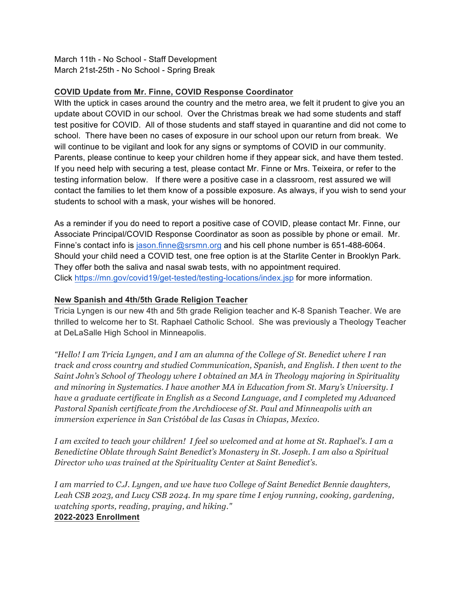March 11th - No School - Staff Development March 21st-25th - No School - Spring Break

## **COVID Update from Mr. Finne, COVID Response Coordinator**

WIth the uptick in cases around the country and the metro area, we felt it prudent to give you an update about COVID in our school. Over the Christmas break we had some students and staff test positive for COVID. All of those students and staff stayed in quarantine and did not come to school. There have been no cases of exposure in our school upon our return from break. We will continue to be vigilant and look for any signs or symptoms of COVID in our community. Parents, please continue to keep your children home if they appear sick, and have them tested. If you need help with securing a test, please contact Mr. Finne or Mrs. Teixeira, or refer to the testing information below. If there were a positive case in a classroom, rest assured we will contact the families to let them know of a possible exposure. As always, if you wish to send your students to school with a mask, your wishes will be honored.

As a reminder if you do need to report a positive case of COVID, please contact Mr. Finne, our Associate Principal/COVID Response Coordinator as soon as possible by phone or email. Mr. Finne's contact info is jason.finne@srsmn.org and his cell phone number is 651-488-6064. Should your child need a COVID test, one free option is at the Starlite Center in Brooklyn Park. They offer both the saliva and nasal swab tests, with no appointment required. Click https://mn.gov/covid19/get-tested/testing-locations/index.jsp for more information.

## **New Spanish and 4th/5th Grade Religion Teacher**

Tricia Lyngen is our new 4th and 5th grade Religion teacher and K-8 Spanish Teacher. We are thrilled to welcome her to St. Raphael Catholic School. She was previously a Theology Teacher at DeLaSalle High School in Minneapolis.

*"Hello! I am Tricia Lyngen, and I am an alumna of the College of St. Benedict where I ran track and cross country and studied Communication, Spanish, and English. I then went to the Saint John's School of Theology where I obtained an MA in Theology majoring in Spirituality and minoring in Systematics. I have another MA in Education from St. Mary's University. I have a graduate certificate in English as a Second Language, and I completed my Advanced Pastoral Spanish certificate from the Archdiocese of St. Paul and Minneapolis with an immersion experience in San Cristóbal de las Casas in Chiapas, Mexico.*

*I am excited to teach your children! I feel so welcomed and at home at St. Raphael's. I am a Benedictine Oblate through Saint Benedict's Monastery in St. Joseph. I am also a Spiritual Director who was trained at the Spirituality Center at Saint Benedict's.*

*I am married to C.J. Lyngen, and we have two College of Saint Benedict Bennie daughters, Leah CSB 2023, and Lucy CSB 2024. In my spare time I enjoy running, cooking, gardening, watching sports, reading, praying, and hiking."* **2022-2023 Enrollment**